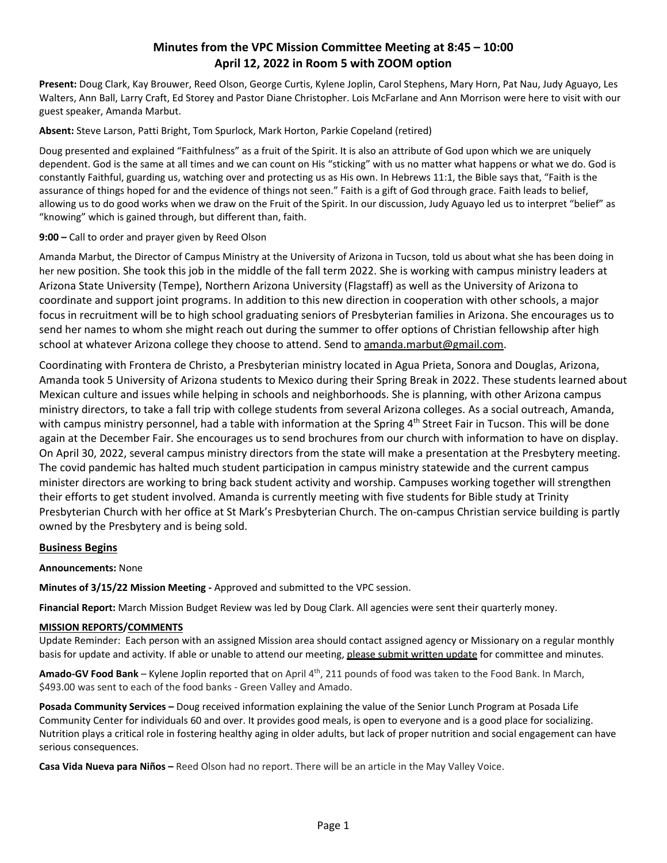# **Minutes from the VPC Mission Committee Meeting at 8:45 – 10:00 April 12, 2022 in Room 5 with ZOOM option**

**Present:** Doug Clark, Kay Brouwer, Reed Olson, George Curtis, Kylene Joplin, Carol Stephens, Mary Horn, Pat Nau, Judy Aguayo, Les Walters, Ann Ball, Larry Craft, Ed Storey and Pastor Diane Christopher. Lois McFarlane and Ann Morrison were here to visit with our guest speaker, Amanda Marbut.

**Absent:** Steve Larson, Patti Bright, Tom Spurlock, Mark Horton, Parkie Copeland (retired)

Doug presented and explained "Faithfulness" as a fruit of the Spirit. It is also an attribute of God upon which we are uniquely dependent. God is the same at all times and we can count on His "sticking" with us no matter what happens or what we do. God is constantly Faithful, guarding us, watching over and protecting us as His own. In Hebrews 11:1, the Bible says that, "Faith is the assurance of things hoped for and the evidence of things not seen." Faith is a gift of God through grace. Faith leads to belief, allowing us to do good works when we draw on the Fruit of the Spirit. In our discussion, Judy Aguayo led us to interpret "belief" as "knowing" which is gained through, but different than, faith.

# **9:00 –** Call to order and prayer given by Reed Olson

Amanda Marbut, the Director of Campus Ministry at the University of Arizona in Tucson, told us about what she has been doing in her new position. She took this job in the middle of the fall term 2022. She is working with campus ministry leaders at Arizona State University (Tempe), Northern Arizona University (Flagstaff) as well as the University of Arizona to coordinate and support joint programs. In addition to this new direction in cooperation with other schools, a major focus in recruitment will be to high school graduating seniors of Presbyterian families in Arizona. She encourages us to send her names to whom she might reach out during the summer to offer options of Christian fellowship after high school at whatever Arizona college they choose to attend. Send to [amanda.marbut@gmail.com.](mailto:amanda.marbut@gmail.com)

Coordinating with Frontera de Christo, a Presbyterian ministry located in Agua Prieta, Sonora and Douglas, Arizona, Amanda took 5 University of Arizona students to Mexico during their Spring Break in 2022. These students learned about Mexican culture and issues while helping in schools and neighborhoods. She is planning, with other Arizona campus ministry directors, to take a fall trip with college students from several Arizona colleges. As a social outreach, Amanda, with campus ministry personnel, had a table with information at the Spring 4<sup>th</sup> Street Fair in Tucson. This will be done again at the December Fair. She encourages us to send brochures from our church with information to have on display. On April 30, 2022, several campus ministry directors from the state will make a presentation at the Presbytery meeting. The covid pandemic has halted much student participation in campus ministry statewide and the current campus minister directors are working to bring back student activity and worship. Campuses working together will strengthen their efforts to get student involved. Amanda is currently meeting with five students for Bible study at Trinity Presbyterian Church with her office at St Mark's Presbyterian Church. The on-campus Christian service building is partly owned by the Presbytery and is being sold.

### **Business Begins**

### **Announcements:** None

**Minutes of 3/15/22 Mission Meeting -** Approved and submitted to the VPC session.

**Financial Report:** March Mission Budget Review was led by Doug Clark. All agencies were sent their quarterly money.

### **MISSION REPORTS/COMMENTS**

Update Reminder: Each person with an assigned Mission area should contact assigned agency or Missionary on a regular monthly basis for update and activity. If able or unable to attend our meeting, please submit written update for committee and minutes.

Amado-GV Food Bank – Kylene Joplin reported that on April 4<sup>th</sup>, 211 pounds of food was taken to the Food Bank. In March, \$493.00 was sent to each of the food banks - Green Valley and Amado.

**Posada Community Services –** Doug received information explaining the value of the Senior Lunch Program at Posada Life Community Center for individuals 60 and over. It provides good meals, is open to everyone and is a good place for socializing. Nutrition plays a critical role in fostering healthy aging in older adults, but lack of proper nutrition and social engagement can have serious consequences.

**Casa Vida Nueva para Niños –** Reed Olson had no report. There will be an article in the May Valley Voice.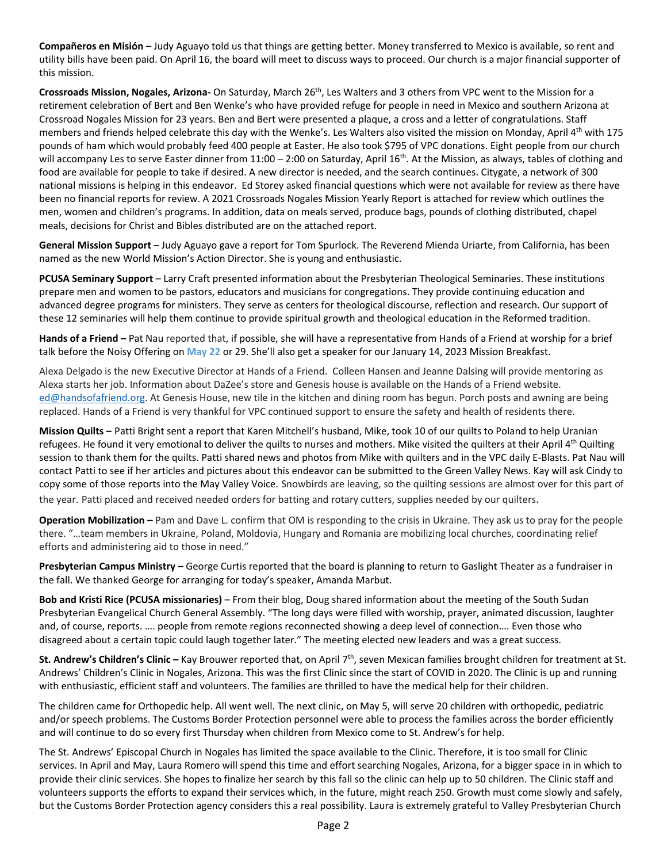**Compañeros en Misión –** Judy Aguayo told us that things are getting better. Money transferred to Mexico is available, so rent and utility bills have been paid. On April 16, the board will meet to discuss ways to proceed. Our church is a major financial supporter of this mission.

**Crossroads Mission, Nogales, Arizona-** On Saturday, March 26th, Les Walters and 3 others from VPC went to the Mission for a retirement celebration of Bert and Ben Wenke's who have provided refuge for people in need in Mexico and southern Arizona at Crossroad Nogales Mission for 23 years. Ben and Bert were presented a plaque, a cross and a letter of congratulations. Staff members and friends helped celebrate this day with the Wenke's. Les Walters also visited the mission on Monday, April  $4<sup>th</sup>$  with 175 pounds of ham which would probably feed 400 people at Easter. He also took \$795 of VPC donations. Eight people from our church will accompany Les to serve Easter dinner from 11:00 – 2:00 on Saturday, April 16<sup>th</sup>. At the Mission, as always, tables of clothing and food are available for people to take if desired. A new director is needed, and the search continues. Citygate, a network of 300 national missions is helping in this endeavor. Ed Storey asked financial questions which were not available for review as there have been no financial reports for review. A 2021 Crossroads Nogales Mission Yearly Report is attached for review which outlines the men, women and children's programs. In addition, data on meals served, produce bags, pounds of clothing distributed, chapel meals, decisions for Christ and Bibles distributed are on the attached report.

**General Mission Support** – Judy Aguayo gave a report for Tom Spurlock. The Reverend Mienda Uriarte, from California, has been named as the new World Mission's Action Director. She is young and enthusiastic.

**PCUSA Seminary Support** – Larry Craft presented information about the Presbyterian Theological Seminaries. These institutions prepare men and women to be pastors, educators and musicians for congregations. They provide continuing education and advanced degree programs for ministers. They serve as centers for theological discourse, reflection and research. Our support of these 12 seminaries will help them continue to provide spiritual growth and theological education in the Reformed tradition.

**Hands of a Friend –** Pat Nau reported that, if possible, she will have a representative from Hands of a Friend at worship for a brief talk before the Noisy Offering on **May 22** or 29. She'll also get a speaker for our January 14, 2023 Mission Breakfast.

Alexa Delgado is the new Executive Director at Hands of a Friend. Colleen Hansen and Jeanne Dalsing will provide mentoring as Alexa starts her job. Information about DaZee's store and Genesis house is available on the Hands of a Friend website. [ed@handsofafriend.org.](mailto:ed@handsofafriend.org) At Genesis House, new tile in the kitchen and dining room has begun. Porch posts and awning are being replaced. Hands of a Friend is very thankful for VPC continued support to ensure the safety and health of residents there.

**Mission Quilts –** Patti Bright sent a report that Karen Mitchell's husband, Mike, took 10 of our quilts to Poland to help Uranian refugees. He found it very emotional to deliver the quilts to nurses and mothers. Mike visited the quilters at their April 4<sup>th</sup> Quilting session to thank them for the quilts. Patti shared news and photos from Mike with quilters and in the VPC daily E-Blasts. Pat Nau will contact Patti to see if her articles and pictures about this endeavor can be submitted to the Green Valley News. Kay will ask Cindy to copy some of those reports into the May Valley Voice. Snowbirds are leaving, so the quilting sessions are almost over for this part of the year. Patti placed and received needed orders for batting and rotary cutters, supplies needed by our quilters.

**Operation Mobilization –** Pam and Dave L. confirm that OM is responding to the crisis in Ukraine. They ask us to pray for the people there. "…team members in Ukraine, Poland, Moldovia, Hungary and Romania are mobilizing local churches, coordinating relief efforts and administering aid to those in need."

**Presbyterian Campus Ministry –** George Curtis reported that the board is planning to return to Gaslight Theater as a fundraiser in the fall. We thanked George for arranging for today's speaker, Amanda Marbut.

**Bob and Kristi Rice (PCUSA missionaries)** – From their blog, Doug shared information about the meeting of the South Sudan Presbyterian Evangelical Church General Assembly. "The long days were filled with worship, prayer, animated discussion, laughter and, of course, reports. …. people from remote regions reconnected showing a deep level of connection…. Even those who disagreed about a certain topic could laugh together later." The meeting elected new leaders and was a great success.

**St. Andrew's Children's Clinic –** Kay Brouwer reported that, on April 7th, seven Mexican families brought children for treatment at St. Andrews' Children's Clinic in Nogales, Arizona. This was the first Clinic since the start of COVID in 2020. The Clinic is up and running with enthusiastic, efficient staff and volunteers. The families are thrilled to have the medical help for their children.

The children came for Orthopedic help. All went well. The next clinic, on May 5, will serve 20 children with orthopedic, pediatric and/or speech problems. The Customs Border Protection personnel were able to process the families across the border efficiently and will continue to do so every first Thursday when children from Mexico come to St. Andrew's for help.

The St. Andrews' Episcopal Church in Nogales has limited the space available to the Clinic. Therefore, it is too small for Clinic services. In April and May, Laura Romero will spend this time and effort searching Nogales, Arizona, for a bigger space in in which to provide their clinic services. She hopes to finalize her search by this fall so the clinic can help up to 50 children. The Clinic staff and volunteers supports the efforts to expand their services which, in the future, might reach 250. Growth must come slowly and safely, but the Customs Border Protection agency considers this a real possibility. Laura is extremely grateful to Valley Presbyterian Church